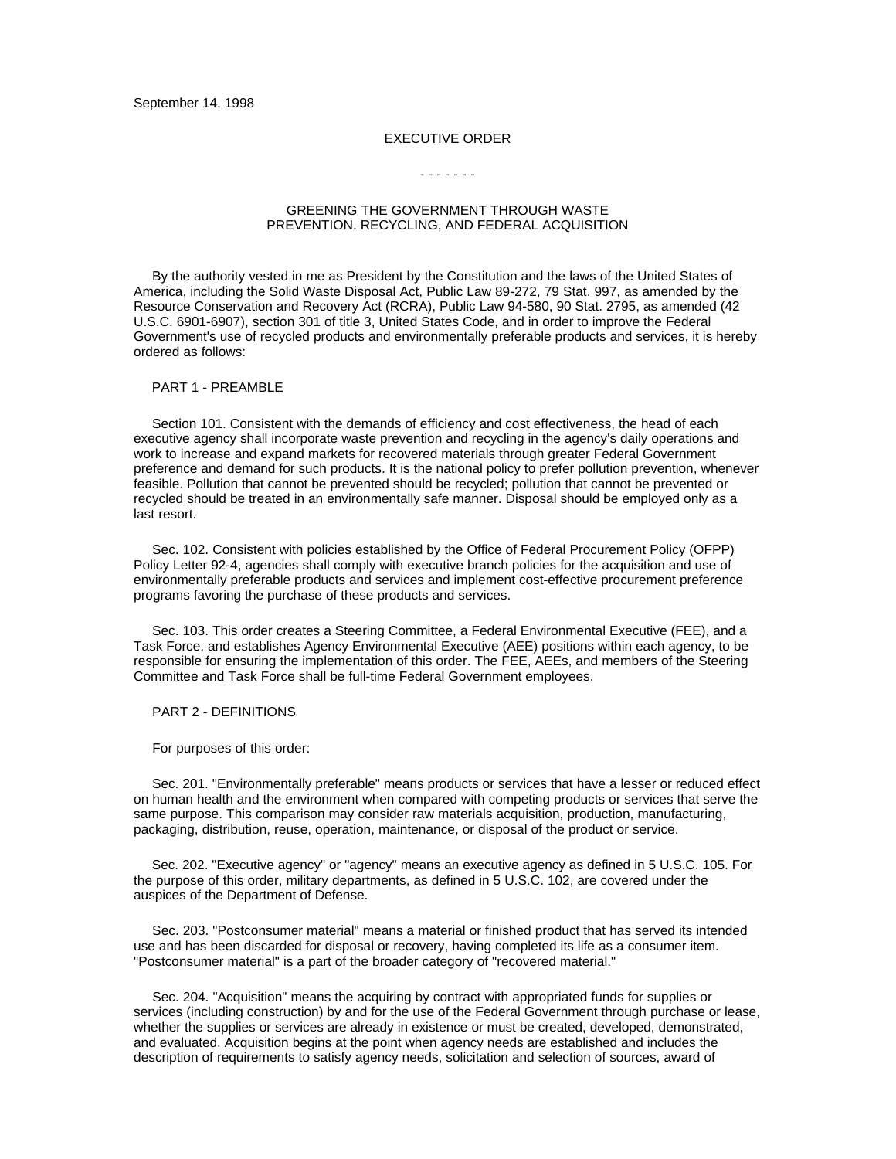### EXECUTIVE ORDER

# - - - - - - -

# GREENING THE GOVERNMENT THROUGH WASTE PREVENTION, RECYCLING, AND FEDERAL ACQUISITION

 By the authority vested in me as President by the Constitution and the laws of the United States of America, including the Solid Waste Disposal Act, Public Law 89-272, 79 Stat. 997, as amended by the Resource Conservation and Recovery Act (RCRA), Public Law 94-580, 90 Stat. 2795, as amended (42 U.S.C. 6901-6907), section 301 of title 3, United States Code, and in order to improve the Federal Government's use of recycled products and environmentally preferable products and services, it is hereby ordered as follows:

### PART 1 - PREAMBLE

 Section 101. Consistent with the demands of efficiency and cost effectiveness, the head of each executive agency shall incorporate waste prevention and recycling in the agency's daily operations and work to increase and expand markets for recovered materials through greater Federal Government preference and demand for such products. It is the national policy to prefer pollution prevention, whenever feasible. Pollution that cannot be prevented should be recycled; pollution that cannot be prevented or recycled should be treated in an environmentally safe manner. Disposal should be employed only as a last resort.

 Sec. 102. Consistent with policies established by the Office of Federal Procurement Policy (OFPP) Policy Letter 92-4, agencies shall comply with executive branch policies for the acquisition and use of environmentally preferable products and services and implement cost-effective procurement preference programs favoring the purchase of these products and services.

 Sec. 103. This order creates a Steering Committee, a Federal Environmental Executive (FEE), and a Task Force, and establishes Agency Environmental Executive (AEE) positions within each agency, to be responsible for ensuring the implementation of this order. The FEE, AEEs, and members of the Steering Committee and Task Force shall be full-time Federal Government employees.

# PART 2 - DEFINITIONS

#### For purposes of this order:

 Sec. 201. "Environmentally preferable" means products or services that have a lesser or reduced effect on human health and the environment when compared with competing products or services that serve the same purpose. This comparison may consider raw materials acquisition, production, manufacturing, packaging, distribution, reuse, operation, maintenance, or disposal of the product or service.

 Sec. 202. "Executive agency" or "agency" means an executive agency as defined in 5 U.S.C. 105. For the purpose of this order, military departments, as defined in 5 U.S.C. 102, are covered under the auspices of the Department of Defense.

 Sec. 203. "Postconsumer material" means a material or finished product that has served its intended use and has been discarded for disposal or recovery, having completed its life as a consumer item. "Postconsumer material" is a part of the broader category of "recovered material."

 Sec. 204. "Acquisition" means the acquiring by contract with appropriated funds for supplies or services (including construction) by and for the use of the Federal Government through purchase or lease, whether the supplies or services are already in existence or must be created, developed, demonstrated, and evaluated. Acquisition begins at the point when agency needs are established and includes the description of requirements to satisfy agency needs, solicitation and selection of sources, award of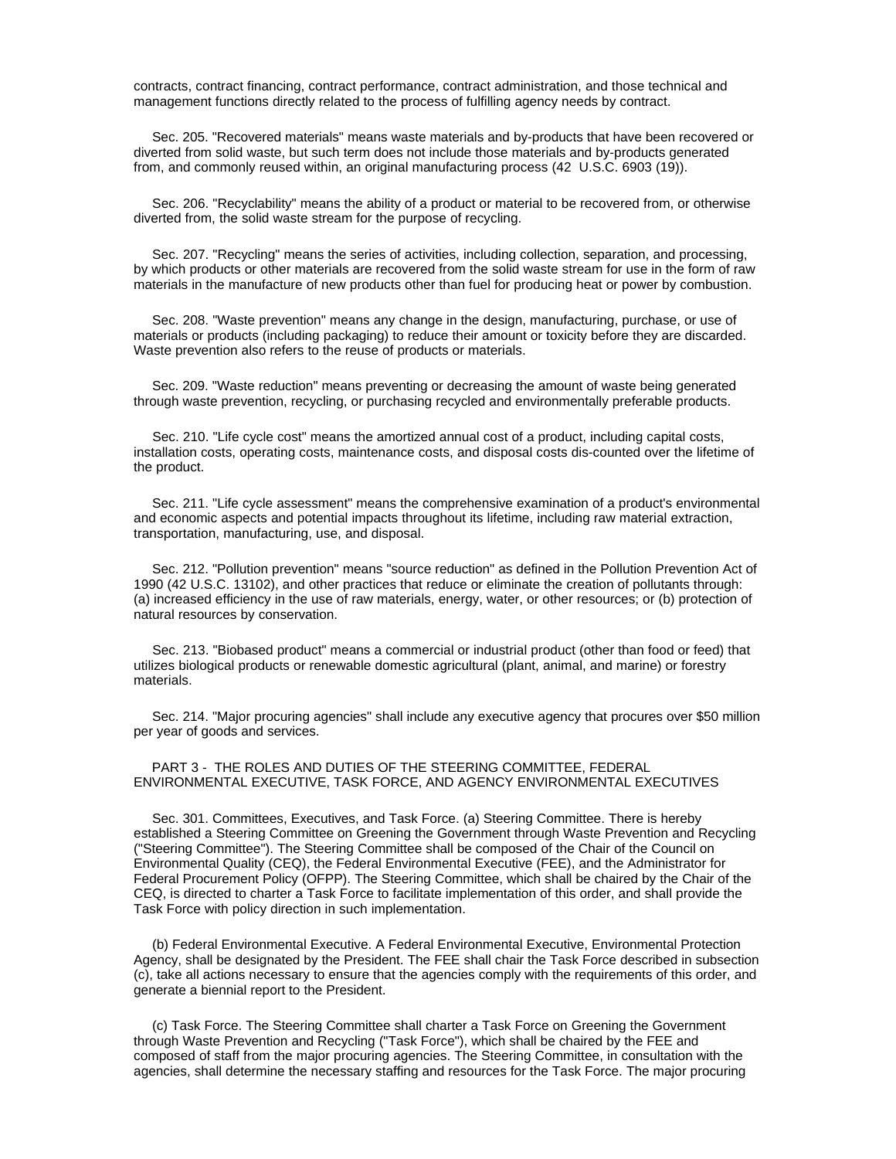contracts, contract financing, contract performance, contract administration, and those technical and management functions directly related to the process of fulfilling agency needs by contract.

 Sec. 205. "Recovered materials" means waste materials and by-products that have been recovered or diverted from solid waste, but such term does not include those materials and by-products generated from, and commonly reused within, an original manufacturing process (42 U.S.C. 6903 (19)).

 Sec. 206. "Recyclability" means the ability of a product or material to be recovered from, or otherwise diverted from, the solid waste stream for the purpose of recycling.

 Sec. 207. "Recycling" means the series of activities, including collection, separation, and processing, by which products or other materials are recovered from the solid waste stream for use in the form of raw materials in the manufacture of new products other than fuel for producing heat or power by combustion.

 Sec. 208. "Waste prevention" means any change in the design, manufacturing, purchase, or use of materials or products (including packaging) to reduce their amount or toxicity before they are discarded. Waste prevention also refers to the reuse of products or materials.

 Sec. 209. "Waste reduction" means preventing or decreasing the amount of waste being generated through waste prevention, recycling, or purchasing recycled and environmentally preferable products.

 Sec. 210. "Life cycle cost" means the amortized annual cost of a product, including capital costs, installation costs, operating costs, maintenance costs, and disposal costs dis-counted over the lifetime of the product.

 Sec. 211. "Life cycle assessment" means the comprehensive examination of a product's environmental and economic aspects and potential impacts throughout its lifetime, including raw material extraction, transportation, manufacturing, use, and disposal.

 Sec. 212. "Pollution prevention" means "source reduction" as defined in the Pollution Prevention Act of 1990 (42 U.S.C. 13102), and other practices that reduce or eliminate the creation of pollutants through: (a) increased efficiency in the use of raw materials, energy, water, or other resources; or (b) protection of natural resources by conservation.

 Sec. 213. "Biobased product" means a commercial or industrial product (other than food or feed) that utilizes biological products or renewable domestic agricultural (plant, animal, and marine) or forestry materials.

 Sec. 214. "Major procuring agencies" shall include any executive agency that procures over \$50 million per year of goods and services.

# PART 3 - THE ROLES AND DUTIES OF THE STEERING COMMITTEE, FEDERAL ENVIRONMENTAL EXECUTIVE, TASK FORCE, AND AGENCY ENVIRONMENTAL EXECUTIVES

 Sec. 301. Committees, Executives, and Task Force. (a) Steering Committee. There is hereby established a Steering Committee on Greening the Government through Waste Prevention and Recycling ("Steering Committee"). The Steering Committee shall be composed of the Chair of the Council on Environmental Quality (CEQ), the Federal Environmental Executive (FEE), and the Administrator for Federal Procurement Policy (OFPP). The Steering Committee, which shall be chaired by the Chair of the CEQ, is directed to charter a Task Force to facilitate implementation of this order, and shall provide the Task Force with policy direction in such implementation.

 (b) Federal Environmental Executive. A Federal Environmental Executive, Environmental Protection Agency, shall be designated by the President. The FEE shall chair the Task Force described in subsection (c), take all actions necessary to ensure that the agencies comply with the requirements of this order, and generate a biennial report to the President.

 (c) Task Force. The Steering Committee shall charter a Task Force on Greening the Government through Waste Prevention and Recycling ("Task Force"), which shall be chaired by the FEE and composed of staff from the major procuring agencies. The Steering Committee, in consultation with the agencies, shall determine the necessary staffing and resources for the Task Force. The major procuring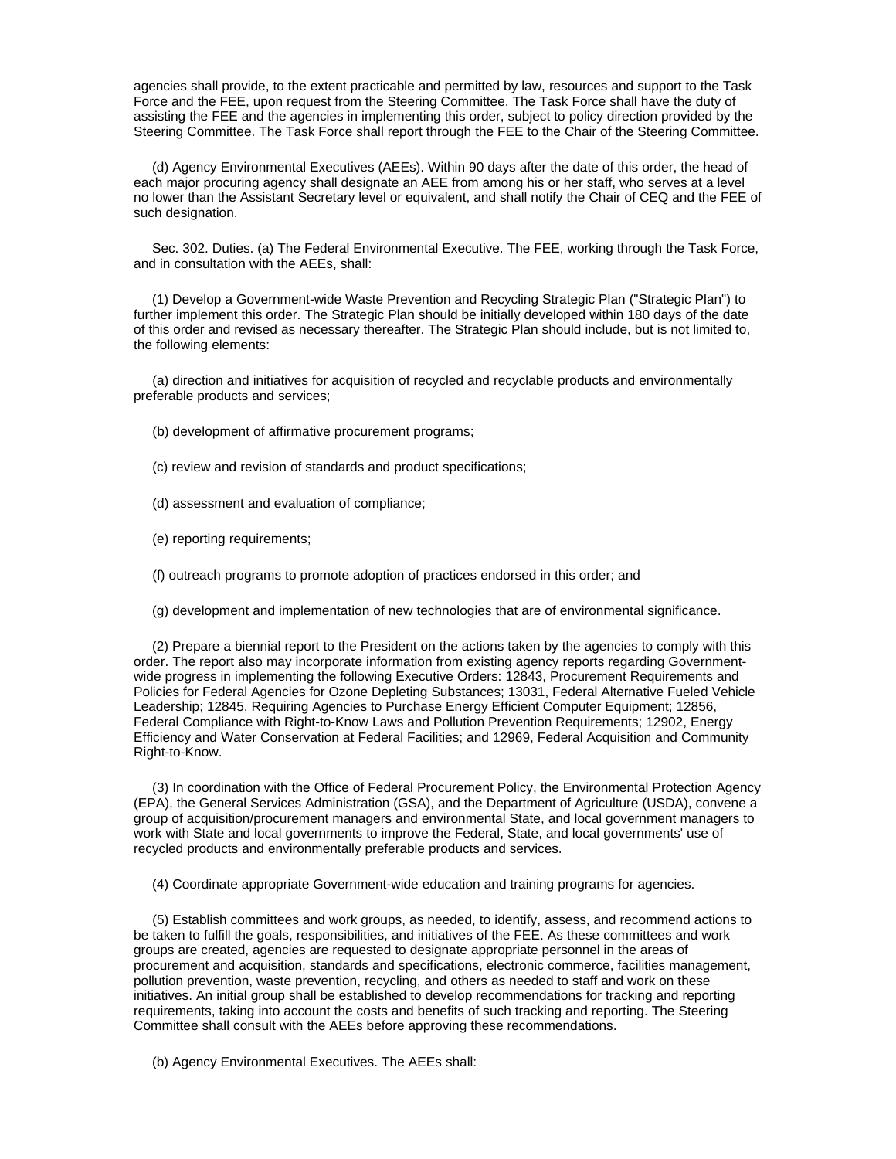agencies shall provide, to the extent practicable and permitted by law, resources and support to the Task Force and the FEE, upon request from the Steering Committee. The Task Force shall have the duty of assisting the FEE and the agencies in implementing this order, subject to policy direction provided by the Steering Committee. The Task Force shall report through the FEE to the Chair of the Steering Committee.

 (d) Agency Environmental Executives (AEEs). Within 90 days after the date of this order, the head of each major procuring agency shall designate an AEE from among his or her staff, who serves at a level no lower than the Assistant Secretary level or equivalent, and shall notify the Chair of CEQ and the FEE of such designation.

 Sec. 302. Duties. (a) The Federal Environmental Executive. The FEE, working through the Task Force, and in consultation with the AEEs, shall:

 (1) Develop a Government-wide Waste Prevention and Recycling Strategic Plan ("Strategic Plan") to further implement this order. The Strategic Plan should be initially developed within 180 days of the date of this order and revised as necessary thereafter. The Strategic Plan should include, but is not limited to, the following elements:

 (a) direction and initiatives for acquisition of recycled and recyclable products and environmentally preferable products and services;

(b) development of affirmative procurement programs;

- (c) review and revision of standards and product specifications;
- (d) assessment and evaluation of compliance;
- (e) reporting requirements;
- (f) outreach programs to promote adoption of practices endorsed in this order; and
- (g) development and implementation of new technologies that are of environmental significance.

 (2) Prepare a biennial report to the President on the actions taken by the agencies to comply with this order. The report also may incorporate information from existing agency reports regarding Governmentwide progress in implementing the following Executive Orders: 12843, Procurement Requirements and Policies for Federal Agencies for Ozone Depleting Substances; 13031, Federal Alternative Fueled Vehicle Leadership; 12845, Requiring Agencies to Purchase Energy Efficient Computer Equipment; 12856, Federal Compliance with Right-to-Know Laws and Pollution Prevention Requirements; 12902, Energy Efficiency and Water Conservation at Federal Facilities; and 12969, Federal Acquisition and Community Right-to-Know.

 (3) In coordination with the Office of Federal Procurement Policy, the Environmental Protection Agency (EPA), the General Services Administration (GSA), and the Department of Agriculture (USDA), convene a group of acquisition/procurement managers and environmental State, and local government managers to work with State and local governments to improve the Federal, State, and local governments' use of recycled products and environmentally preferable products and services.

(4) Coordinate appropriate Government-wide education and training programs for agencies.

 (5) Establish committees and work groups, as needed, to identify, assess, and recommend actions to be taken to fulfill the goals, responsibilities, and initiatives of the FEE. As these committees and work groups are created, agencies are requested to designate appropriate personnel in the areas of procurement and acquisition, standards and specifications, electronic commerce, facilities management, pollution prevention, waste prevention, recycling, and others as needed to staff and work on these initiatives. An initial group shall be established to develop recommendations for tracking and reporting requirements, taking into account the costs and benefits of such tracking and reporting. The Steering Committee shall consult with the AEEs before approving these recommendations.

(b) Agency Environmental Executives. The AEEs shall: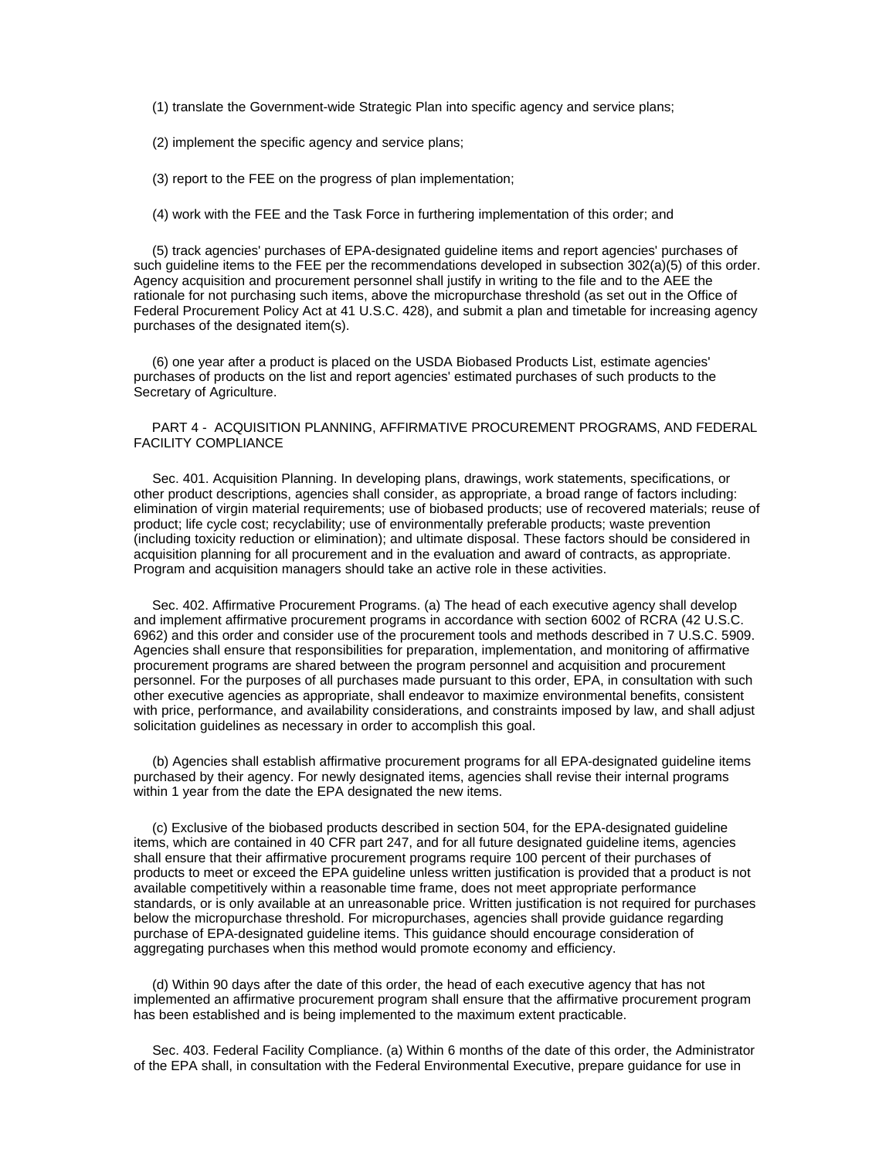- (1) translate the Government-wide Strategic Plan into specific agency and service plans;
- (2) implement the specific agency and service plans;
- (3) report to the FEE on the progress of plan implementation;

#### (4) work with the FEE and the Task Force in furthering implementation of this order; and

 (5) track agencies' purchases of EPA-designated guideline items and report agencies' purchases of such guideline items to the FEE per the recommendations developed in subsection 302(a)(5) of this order. Agency acquisition and procurement personnel shall justify in writing to the file and to the AEE the rationale for not purchasing such items, above the micropurchase threshold (as set out in the Office of Federal Procurement Policy Act at 41 U.S.C. 428), and submit a plan and timetable for increasing agency purchases of the designated item(s).

 (6) one year after a product is placed on the USDA Biobased Products List, estimate agencies' purchases of products on the list and report agencies' estimated purchases of such products to the Secretary of Agriculture.

# PART 4 - ACQUISITION PLANNING, AFFIRMATIVE PROCUREMENT PROGRAMS, AND FEDERAL FACILITY COMPLIANCE

 Sec. 401. Acquisition Planning. In developing plans, drawings, work statements, specifications, or other product descriptions, agencies shall consider, as appropriate, a broad range of factors including: elimination of virgin material requirements; use of biobased products; use of recovered materials; reuse of product; life cycle cost; recyclability; use of environmentally preferable products; waste prevention (including toxicity reduction or elimination); and ultimate disposal. These factors should be considered in acquisition planning for all procurement and in the evaluation and award of contracts, as appropriate. Program and acquisition managers should take an active role in these activities.

 Sec. 402. Affirmative Procurement Programs. (a) The head of each executive agency shall develop and implement affirmative procurement programs in accordance with section 6002 of RCRA (42 U.S.C. 6962) and this order and consider use of the procurement tools and methods described in 7 U.S.C. 5909. Agencies shall ensure that responsibilities for preparation, implementation, and monitoring of affirmative procurement programs are shared between the program personnel and acquisition and procurement personnel. For the purposes of all purchases made pursuant to this order, EPA, in consultation with such other executive agencies as appropriate, shall endeavor to maximize environmental benefits, consistent with price, performance, and availability considerations, and constraints imposed by law, and shall adjust solicitation guidelines as necessary in order to accomplish this goal.

 (b) Agencies shall establish affirmative procurement programs for all EPA-designated guideline items purchased by their agency. For newly designated items, agencies shall revise their internal programs within 1 year from the date the EPA designated the new items.

 (c) Exclusive of the biobased products described in section 504, for the EPA-designated guideline items, which are contained in 40 CFR part 247, and for all future designated guideline items, agencies shall ensure that their affirmative procurement programs require 100 percent of their purchases of products to meet or exceed the EPA guideline unless written justification is provided that a product is not available competitively within a reasonable time frame, does not meet appropriate performance standards, or is only available at an unreasonable price. Written justification is not required for purchases below the micropurchase threshold. For micropurchases, agencies shall provide guidance regarding purchase of EPA-designated guideline items. This guidance should encourage consideration of aggregating purchases when this method would promote economy and efficiency.

 (d) Within 90 days after the date of this order, the head of each executive agency that has not implemented an affirmative procurement program shall ensure that the affirmative procurement program has been established and is being implemented to the maximum extent practicable.

 Sec. 403. Federal Facility Compliance. (a) Within 6 months of the date of this order, the Administrator of the EPA shall, in consultation with the Federal Environmental Executive, prepare guidance for use in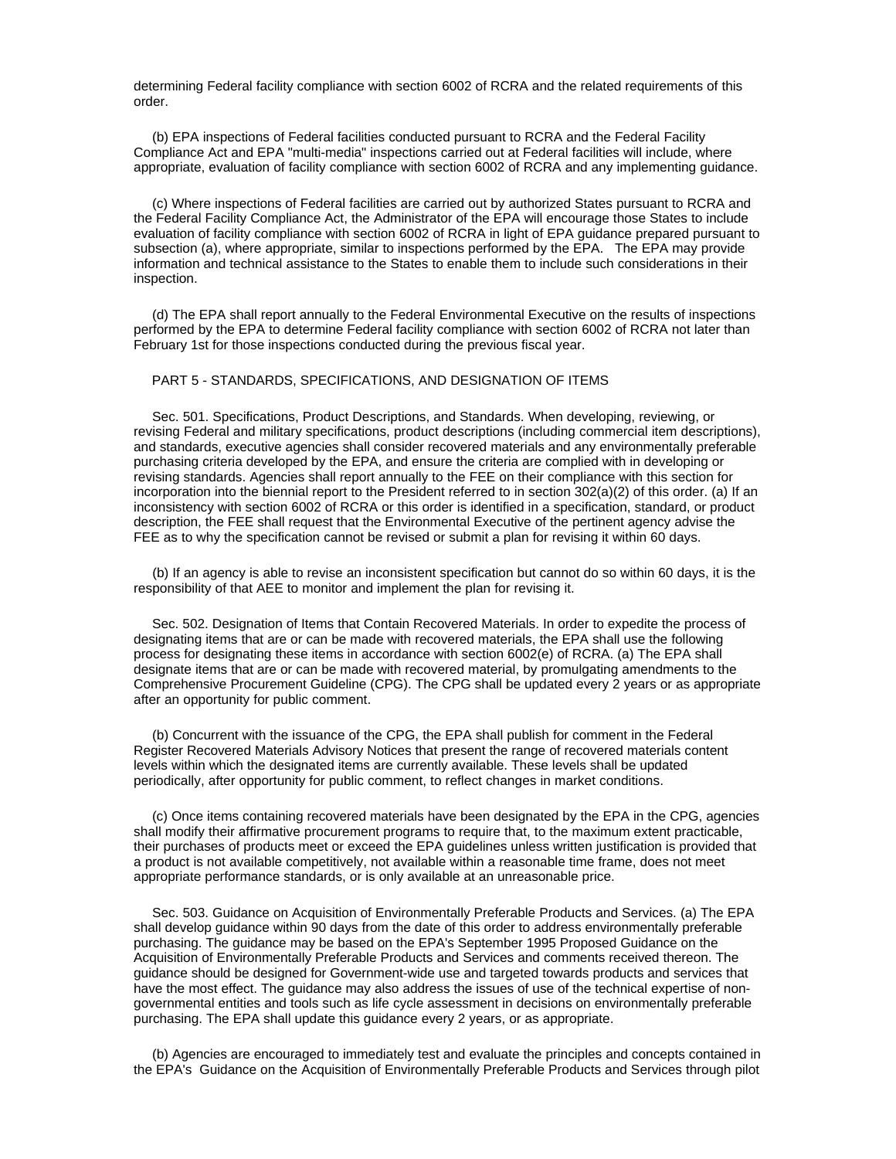determining Federal facility compliance with section 6002 of RCRA and the related requirements of this order.

 (b) EPA inspections of Federal facilities conducted pursuant to RCRA and the Federal Facility Compliance Act and EPA "multi-media" inspections carried out at Federal facilities will include, where appropriate, evaluation of facility compliance with section 6002 of RCRA and any implementing guidance.

 (c) Where inspections of Federal facilities are carried out by authorized States pursuant to RCRA and the Federal Facility Compliance Act, the Administrator of the EPA will encourage those States to include evaluation of facility compliance with section 6002 of RCRA in light of EPA guidance prepared pursuant to subsection (a), where appropriate, similar to inspections performed by the EPA. The EPA may provide information and technical assistance to the States to enable them to include such considerations in their inspection.

 (d) The EPA shall report annually to the Federal Environmental Executive on the results of inspections performed by the EPA to determine Federal facility compliance with section 6002 of RCRA not later than February 1st for those inspections conducted during the previous fiscal year.

### PART 5 - STANDARDS, SPECIFICATIONS, AND DESIGNATION OF ITEMS

 Sec. 501. Specifications, Product Descriptions, and Standards. When developing, reviewing, or revising Federal and military specifications, product descriptions (including commercial item descriptions), and standards, executive agencies shall consider recovered materials and any environmentally preferable purchasing criteria developed by the EPA, and ensure the criteria are complied with in developing or revising standards. Agencies shall report annually to the FEE on their compliance with this section for incorporation into the biennial report to the President referred to in section 302(a)(2) of this order. (a) If an inconsistency with section 6002 of RCRA or this order is identified in a specification, standard, or product description, the FEE shall request that the Environmental Executive of the pertinent agency advise the FEE as to why the specification cannot be revised or submit a plan for revising it within 60 days.

 (b) If an agency is able to revise an inconsistent specification but cannot do so within 60 days, it is the responsibility of that AEE to monitor and implement the plan for revising it.

 Sec. 502. Designation of Items that Contain Recovered Materials. In order to expedite the process of designating items that are or can be made with recovered materials, the EPA shall use the following process for designating these items in accordance with section 6002(e) of RCRA. (a) The EPA shall designate items that are or can be made with recovered material, by promulgating amendments to the Comprehensive Procurement Guideline (CPG). The CPG shall be updated every 2 years or as appropriate after an opportunity for public comment.

 (b) Concurrent with the issuance of the CPG, the EPA shall publish for comment in the Federal Register Recovered Materials Advisory Notices that present the range of recovered materials content levels within which the designated items are currently available. These levels shall be updated periodically, after opportunity for public comment, to reflect changes in market conditions.

 (c) Once items containing recovered materials have been designated by the EPA in the CPG, agencies shall modify their affirmative procurement programs to require that, to the maximum extent practicable, their purchases of products meet or exceed the EPA guidelines unless written justification is provided that a product is not available competitively, not available within a reasonable time frame, does not meet appropriate performance standards, or is only available at an unreasonable price.

 Sec. 503. Guidance on Acquisition of Environmentally Preferable Products and Services. (a) The EPA shall develop guidance within 90 days from the date of this order to address environmentally preferable purchasing. The guidance may be based on the EPA's September 1995 Proposed Guidance on the Acquisition of Environmentally Preferable Products and Services and comments received thereon. The guidance should be designed for Government-wide use and targeted towards products and services that have the most effect. The guidance may also address the issues of use of the technical expertise of nongovernmental entities and tools such as life cycle assessment in decisions on environmentally preferable purchasing. The EPA shall update this guidance every 2 years, or as appropriate.

 (b) Agencies are encouraged to immediately test and evaluate the principles and concepts contained in the EPA's Guidance on the Acquisition of Environmentally Preferable Products and Services through pilot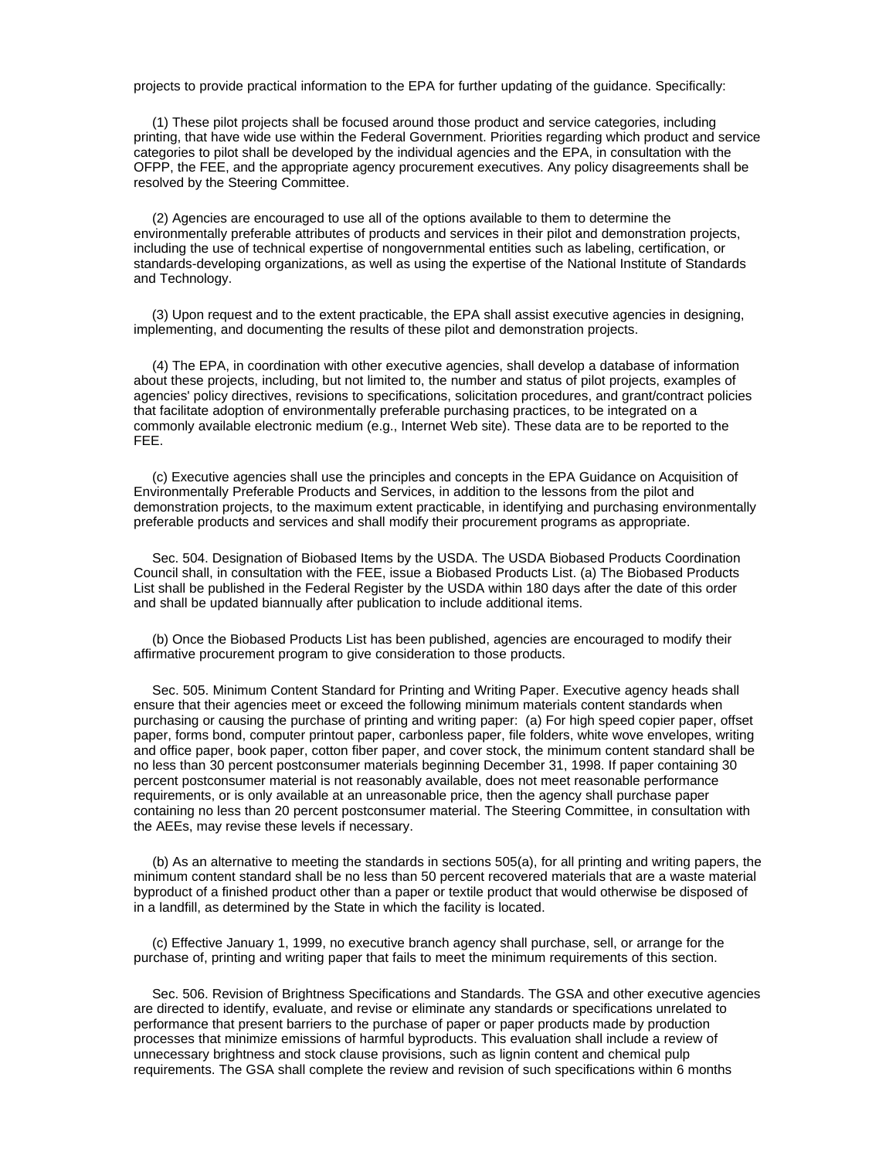projects to provide practical information to the EPA for further updating of the guidance. Specifically:

 (1) These pilot projects shall be focused around those product and service categories, including printing, that have wide use within the Federal Government. Priorities regarding which product and service categories to pilot shall be developed by the individual agencies and the EPA, in consultation with the OFPP, the FEE, and the appropriate agency procurement executives. Any policy disagreements shall be resolved by the Steering Committee.

 (2) Agencies are encouraged to use all of the options available to them to determine the environmentally preferable attributes of products and services in their pilot and demonstration projects, including the use of technical expertise of nongovernmental entities such as labeling, certification, or standards-developing organizations, as well as using the expertise of the National Institute of Standards and Technology.

 (3) Upon request and to the extent practicable, the EPA shall assist executive agencies in designing, implementing, and documenting the results of these pilot and demonstration projects.

 (4) The EPA, in coordination with other executive agencies, shall develop a database of information about these projects, including, but not limited to, the number and status of pilot projects, examples of agencies' policy directives, revisions to specifications, solicitation procedures, and grant/contract policies that facilitate adoption of environmentally preferable purchasing practices, to be integrated on a commonly available electronic medium (e.g., Internet Web site). These data are to be reported to the FEE.

 (c) Executive agencies shall use the principles and concepts in the EPA Guidance on Acquisition of Environmentally Preferable Products and Services, in addition to the lessons from the pilot and demonstration projects, to the maximum extent practicable, in identifying and purchasing environmentally preferable products and services and shall modify their procurement programs as appropriate.

 Sec. 504. Designation of Biobased Items by the USDA. The USDA Biobased Products Coordination Council shall, in consultation with the FEE, issue a Biobased Products List. (a) The Biobased Products List shall be published in the Federal Register by the USDA within 180 days after the date of this order and shall be updated biannually after publication to include additional items.

 (b) Once the Biobased Products List has been published, agencies are encouraged to modify their affirmative procurement program to give consideration to those products.

 Sec. 505. Minimum Content Standard for Printing and Writing Paper. Executive agency heads shall ensure that their agencies meet or exceed the following minimum materials content standards when purchasing or causing the purchase of printing and writing paper: (a) For high speed copier paper, offset paper, forms bond, computer printout paper, carbonless paper, file folders, white wove envelopes, writing and office paper, book paper, cotton fiber paper, and cover stock, the minimum content standard shall be no less than 30 percent postconsumer materials beginning December 31, 1998. If paper containing 30 percent postconsumer material is not reasonably available, does not meet reasonable performance requirements, or is only available at an unreasonable price, then the agency shall purchase paper containing no less than 20 percent postconsumer material. The Steering Committee, in consultation with the AEEs, may revise these levels if necessary.

 (b) As an alternative to meeting the standards in sections 505(a), for all printing and writing papers, the minimum content standard shall be no less than 50 percent recovered materials that are a waste material byproduct of a finished product other than a paper or textile product that would otherwise be disposed of in a landfill, as determined by the State in which the facility is located.

 (c) Effective January 1, 1999, no executive branch agency shall purchase, sell, or arrange for the purchase of, printing and writing paper that fails to meet the minimum requirements of this section.

 Sec. 506. Revision of Brightness Specifications and Standards. The GSA and other executive agencies are directed to identify, evaluate, and revise or eliminate any standards or specifications unrelated to performance that present barriers to the purchase of paper or paper products made by production processes that minimize emissions of harmful byproducts. This evaluation shall include a review of unnecessary brightness and stock clause provisions, such as lignin content and chemical pulp requirements. The GSA shall complete the review and revision of such specifications within 6 months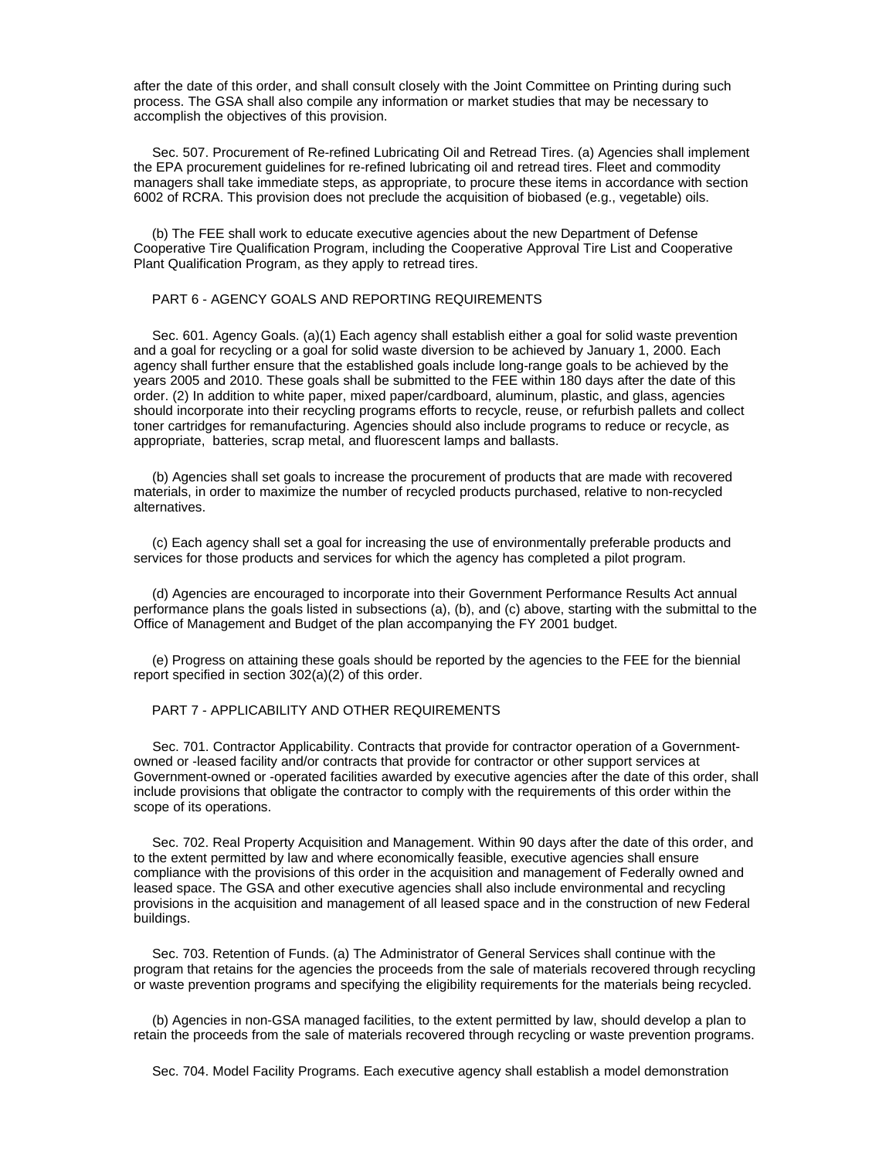after the date of this order, and shall consult closely with the Joint Committee on Printing during such process. The GSA shall also compile any information or market studies that may be necessary to accomplish the objectives of this provision.

 Sec. 507. Procurement of Re-refined Lubricating Oil and Retread Tires. (a) Agencies shall implement the EPA procurement guidelines for re-refined lubricating oil and retread tires. Fleet and commodity managers shall take immediate steps, as appropriate, to procure these items in accordance with section 6002 of RCRA. This provision does not preclude the acquisition of biobased (e.g., vegetable) oils.

 (b) The FEE shall work to educate executive agencies about the new Department of Defense Cooperative Tire Qualification Program, including the Cooperative Approval Tire List and Cooperative Plant Qualification Program, as they apply to retread tires.

# PART 6 - AGENCY GOALS AND REPORTING REQUIREMENTS

Sec. 601. Agency Goals. (a)(1) Each agency shall establish either a goal for solid waste prevention and a goal for recycling or a goal for solid waste diversion to be achieved by January 1, 2000. Each agency shall further ensure that the established goals include long-range goals to be achieved by the years 2005 and 2010. These goals shall be submitted to the FEE within 180 days after the date of this order. (2) In addition to white paper, mixed paper/cardboard, aluminum, plastic, and glass, agencies should incorporate into their recycling programs efforts to recycle, reuse, or refurbish pallets and collect toner cartridges for remanufacturing. Agencies should also include programs to reduce or recycle, as appropriate, batteries, scrap metal, and fluorescent lamps and ballasts.

 (b) Agencies shall set goals to increase the procurement of products that are made with recovered materials, in order to maximize the number of recycled products purchased, relative to non-recycled alternatives.

 (c) Each agency shall set a goal for increasing the use of environmentally preferable products and services for those products and services for which the agency has completed a pilot program.

 (d) Agencies are encouraged to incorporate into their Government Performance Results Act annual performance plans the goals listed in subsections (a), (b), and (c) above, starting with the submittal to the Office of Management and Budget of the plan accompanying the FY 2001 budget.

 (e) Progress on attaining these goals should be reported by the agencies to the FEE for the biennial report specified in section 302(a)(2) of this order.

### PART 7 - APPLICABILITY AND OTHER REQUIREMENTS

 Sec. 701. Contractor Applicability. Contracts that provide for contractor operation of a Governmentowned or -leased facility and/or contracts that provide for contractor or other support services at Government-owned or -operated facilities awarded by executive agencies after the date of this order, shall include provisions that obligate the contractor to comply with the requirements of this order within the scope of its operations.

 Sec. 702. Real Property Acquisition and Management. Within 90 days after the date of this order, and to the extent permitted by law and where economically feasible, executive agencies shall ensure compliance with the provisions of this order in the acquisition and management of Federally owned and leased space. The GSA and other executive agencies shall also include environmental and recycling provisions in the acquisition and management of all leased space and in the construction of new Federal buildings.

 Sec. 703. Retention of Funds. (a) The Administrator of General Services shall continue with the program that retains for the agencies the proceeds from the sale of materials recovered through recycling or waste prevention programs and specifying the eligibility requirements for the materials being recycled.

 (b) Agencies in non-GSA managed facilities, to the extent permitted by law, should develop a plan to retain the proceeds from the sale of materials recovered through recycling or waste prevention programs.

Sec. 704. Model Facility Programs. Each executive agency shall establish a model demonstration